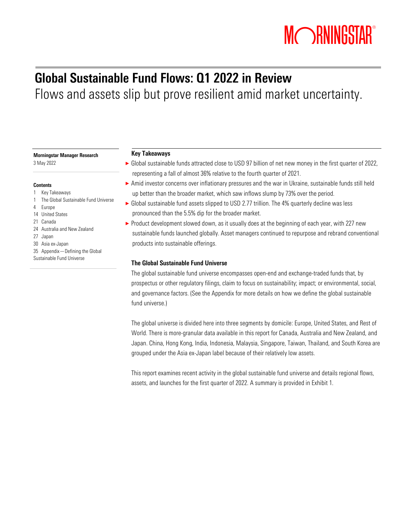# MORNINGSTAR®

## Global Sustainable Fund Flows: Q1 2022 in Review Flows and assets slip but prove resilient amid market uncertainty.

#### Morningstar Manager Research

3 May 2022

#### **Contents**

- 1 Key Takeaways
- The Global Sustainable Fund Universe
- 4 Europe
- 14 United States
- 21 Canada
- 24 Australia and New Zealand
- 27 Japan
- 30 Asia ex-Japan
- 35 Appendix—Defining the Global Sustainable Fund Universe

#### Key Takeaways

- ► Global sustainable funds attracted close to USD 97 billion of net new money in the first quarter of 2022, representing a fall of almost 36% relative to the fourth quarter of 2021.
- ▶ Amid investor concerns over inflationary pressures and the war in Ukraine, sustainable funds still held up better than the broader market, which saw inflows slump by 73% over the period.
- $\triangleright$  Global sustainable fund assets slipped to USD 2.77 trillion. The 4% quarterly decline was less pronounced than the 5.5% dip for the broader market.
- ▶ Product development slowed down, as it usually does at the beginning of each year, with 227 new sustainable funds launched globally. Asset managers continued to repurpose and rebrand conventional products into sustainable offerings.

#### The Global Sustainable Fund Universe

The global sustainable fund universe encompasses open-end and exchange-traded funds that, by prospectus or other regulatory filings, claim to focus on sustainability; impact; or environmental, social, and governance factors. (See the Appendix for more details on how we define the global sustainable fund universe.)

The global universe is divided here into three segments by domicile: Europe, United States, and Rest of World. There is more-granular data available in this report for Canada, Australia and New Zealand, and Japan. China, Hong Kong, India, Indonesia, Malaysia, Singapore, Taiwan, Thailand, and South Korea are grouped under the Asia ex-Japan label because of their relatively low assets.

This report examines recent activity in the global sustainable fund universe and details regional flows, assets, and launches for the first quarter of 2022. A summary is provided in Exhibit 1.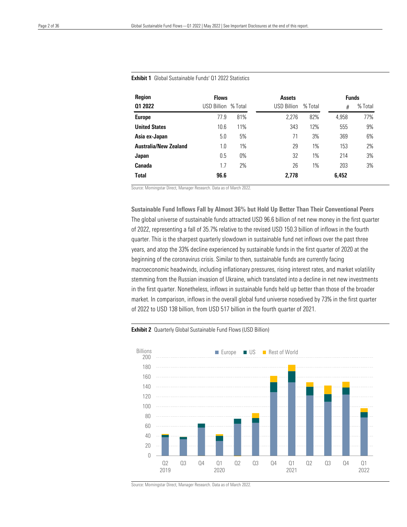| <b>Region</b>                | <b>Flows</b> |         | <b>Assets</b> |         | <b>Funds</b> |         |
|------------------------------|--------------|---------|---------------|---------|--------------|---------|
| 01 2022                      | USD Billion  | % Total | USD Billion   | % Total | #            | % Total |
| <b>Europe</b>                | 77.9         | 81%     | 2,276         | 82%     | 4.958        | 77%     |
| <b>United States</b>         | 10.6         | 11%     | 343           | 12%     | 555          | 9%      |
| Asia ex-Japan                | 5.0          | 5%      | 71            | 3%      | 369          | 6%      |
| <b>Australia/New Zealand</b> | 1.0          | 1%      | 29            | 1%      | 153          | 2%      |
| Japan                        | 0.5          | $0\%$   | 32            | 1%      | 214          | 3%      |
| Canada                       | 1.7          | 2%      | 26            | 1%      | 203          | 3%      |
| <b>Total</b>                 | 96.6         |         | 2,778         |         | 6,452        |         |

Exhibit 1 Global Sustainable Funds' Q1 2022 Statistics

 $\overline{a}$ 

Source: Morningstar Direct, Manager Research. Data as of March 2022.

Sustainable Fund Inflows Fall by Almost 36% but Hold Up Better Than Their Conventional Peers The global universe of sustainable funds attracted USD 96.6 billion of net new money in the first quarter of 2022, representing a fall of 35.7% relative to the revised USD 150.3 billion of inflows in the fourth quarter. This is the sharpest quarterly slowdown in sustainable fund net inflows over the past three years, and atop the 33% decline experienced by sustainable funds in the first quarter of 2020 at the beginning of the coronavirus crisis. Similar to then, sustainable funds are currently facing macroeconomic headwinds, including inflationary pressures, rising interest rates, and market volatility stemming from the Russian invasion of Ukraine, which translated into a decline in net new investments in the first quarter. Nonetheless, inflows in sustainable funds held up better than those of the broader market. In comparison, inflows in the overall global fund universe nosedived by 73% in the first quarter of 2022 to USD 138 billion, from USD 517 billion in the fourth quarter of 2021.

#### **Exhibit 2** Quarterly Global Sustainable Fund Flows (USD Billion)



Source: Morningstar Direct, Manager Research. Data as of March 2022.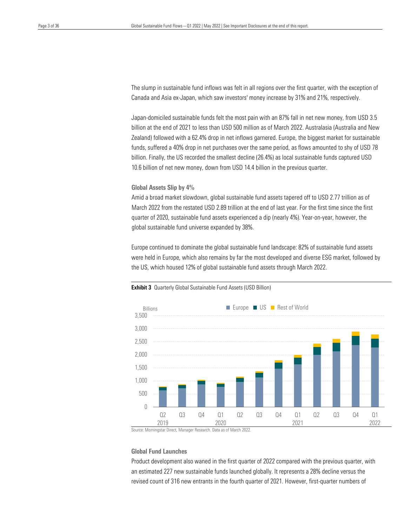The slump in sustainable fund inflows was felt in all regions over the first quarter, with the exception of Canada and Asia ex-Japan, which saw investors' money increase by 31% and 21%, respectively.

 Japan-domiciled sustainable funds felt the most pain with an 87% fall in net new money, from USD 3.5 billion at the end of 2021 to less than USD 500 million as of March 2022. Australasia (Australia and New Zealand) followed with a 62.4% drop in net inflows garnered. Europe, the biggest market for sustainable funds, suffered a 40% drop in net purchases over the same period, as flows amounted to shy of USD 78 billion. Finally, the US recorded the smallest decline (26.4%) as local sustainable funds captured USD 10.6 billion of net new money, down from USD 14.4 billion in the previous quarter.

#### Global Assets Slip by 4%

Amid a broad market slowdown, global sustainable fund assets tapered off to USD 2.77 trillion as of March 2022 from the restated USD 2.89 trillion at the end of last year. For the first time since the first quarter of 2020, sustainable fund assets experienced a dip (nearly 4%). Year-on-year, however, the global sustainable fund universe expanded by 38%.

Europe continued to dominate the global sustainable fund landscape: 82% of sustainable fund assets were held in Europe, which also remains by far the most developed and diverse ESG market, followed by the US, which housed 12% of global sustainable fund assets through March 2022.



#### **Exhibit 3** Quarterly Global Sustainable Fund Assets (USD Billion)

Source: Morningstar Direct, Manager Research. Data as of March 2022.

#### Global Fund Launches

Product development also waned in the first quarter of 2022 compared with the previous quarter, with an estimated 227 new sustainable funds launched globally. It represents a 28% decline versus the revised count of 316 new entrants in the fourth quarter of 2021. However, first-quarter numbers of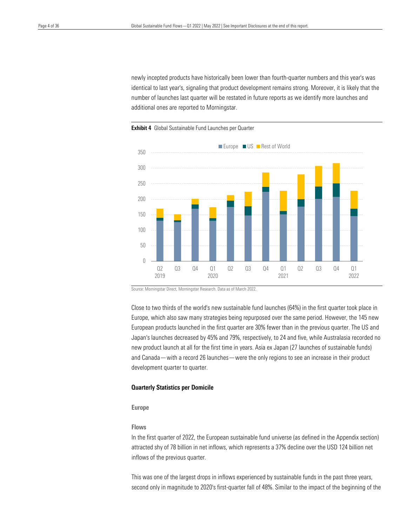identical to last year's, signaling that product development remains strong. Moreover, it is likely that the number of launches last quarter will be restated in future reports as we identify more launches and newly incepted products have historically been lower than fourth-quarter numbers and this year's was additional ones are reported to Morningstar.



Exhibit 4 Global Sustainable Fund Launches per Quarter

Source: Morningstar Direct, Morningstar Research. Data as of March 2022.

Close to two thirds of the world's new sustainable fund launches (64%) in the first quarter took place in Europe, which also saw many strategies being repurposed over the same period. However, the 145 new European products launched in the first quarter are 30% fewer than in the previous quarter. The US and Japan's launches decreased by 45% and 79%, respectively, to 24 and five, while Australasia recorded no new product launch at all for the first time in years. Asia ex Japan (27 launches of sustainable funds) and Canada—with a record 26 launches—were the only regions to see an increase in their product development quarter to quarter.

#### Quarterly Statistics per Domicile

Europe

#### Flows

In the first quarter of 2022, the European sustainable fund universe (as defined in the Appendix section) attracted shy of 78 billion in net inflows, which represents a 37% decline over the USD 124 billion net inflows of the previous quarter.

This was one of the largest drops in inflows experienced by sustainable funds in the past three years, second only in magnitude to 2020's first-quarter fall of 48%. Similar to the impact of the beginning of the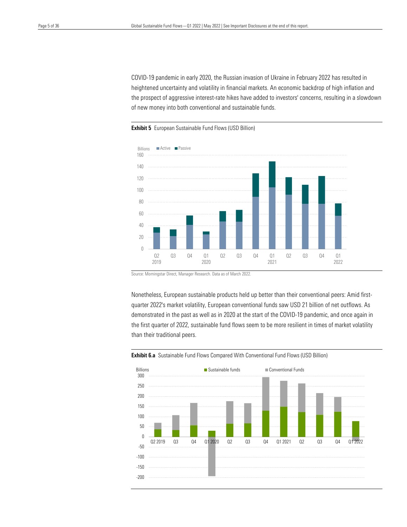heightened uncertainty and volatility in financial markets. An economic backdrop of high inflation and the prospect of aggressive interest-rate hikes have added to investors' concerns, resulting in a slowdown COVID-19 pandemic in early 2020, the Russian invasion of Ukraine in February 2022 has resulted in of new money into both conventional and sustainable funds.

**Exhibit 5** European Sustainable Fund Flows (USD Billion)



Source: Morningstar Direct, Manager Research. Data as of March 2022.

Nonetheless, European sustainable products held up better than their conventional peers: Amid firstquarter 2022's market volatility, European conventional funds saw USD 21 billion of net outflows. As demonstrated in the past as well as in 2020 at the start of the COVID-19 pandemic, and once again in the first quarter of 2022, sustainable fund flows seem to be more resilient in times of market volatility than their traditional peers.



**Exhibit 6.a** Sustainable Fund Flows Compared With Conventional Fund Flows (USD Billion)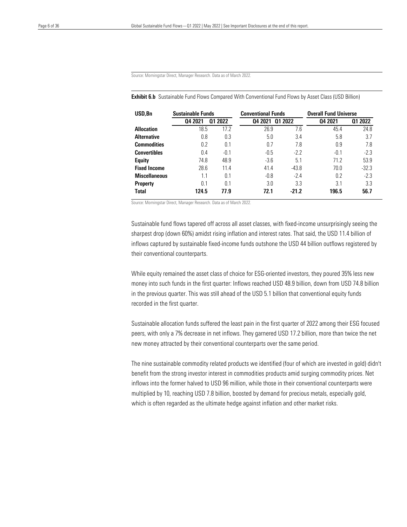Source: Morningstar Direct, Manager Research. Data as of March 2022.

 $\overline{a}$ 

#### Exhibit 6.b Sustainable Fund Flows Compared With Conventional Fund Flows by Asset Class (USD Billion)

| USD, Bn<br><b>Sustainable Funds</b> |         | <b>Conventional Funds</b> |         | <b>Overall Fund Universe</b> |         |         |
|-------------------------------------|---------|---------------------------|---------|------------------------------|---------|---------|
|                                     | 04 2021 | 01 2022                   | 04 2021 | 01 2022                      | 04 2021 | 01 2022 |
| <b>Allocation</b>                   | 18.5    | 17.2                      | 26.9    | 7.6                          | 45.4    | 24.8    |
| <b>Alternative</b>                  | 0.8     | 0.3                       | 5.0     | 3.4                          | 5.8     | 3.7     |
| <b>Commodities</b>                  | 0.2     | 0.1                       | 0.7     | 7.8                          | 0.9     | 7.8     |
| <b>Convertibles</b>                 | 0.4     | $-0.1$                    | $-0.5$  | $-2.2$                       | $-0.1$  | $-2.3$  |
| <b>Equity</b>                       | 74.8    | 48.9                      | $-3.6$  | 5.1                          | 71.2    | 53.9    |
| <b>Fixed Income</b>                 | 28.6    | 11.4                      | 41.4    | $-43.8$                      | 70.0    | $-32.3$ |
| <b>Miscellaneous</b>                | 1.1     | 0.1                       | $-0.8$  | $-2.4$                       | 0.2     | $-2.3$  |
| <b>Property</b>                     | 0.1     | 0.1                       | 3.0     | 3.3                          | 3.1     | 3.3     |
| Total                               | 124.5   | 77.9                      | 72.1    | $-21.2$                      | 196.5   | 56.7    |

Source: Morningstar Direct, Manager Research. Data as of March 2022.

Sustainable fund flows tapered off across all asset classes, with fixed-income unsurprisingly seeing the sharpest drop (down 60%) amidst rising inflation and interest rates. That said, the USD 11.4 billion of inflows captured by sustainable fixed-income funds outshone the USD 44 billion outflows registered by their conventional counterparts.

While equity remained the asset class of choice for ESG-oriented investors, they poured 35% less new money into such funds in the first quarter: Inflows reached USD 48.9 billion, down from USD 74.8 billion in the previous quarter. This was still ahead of the USD 5.1 billion that conventional equity funds recorded in the first quarter.

Sustainable allocation funds suffered the least pain in the first quarter of 2022 among their ESG focused peers, with only a 7% decrease in net inflows. They garnered USD 17.2 billion, more than twice the net new money attracted by their conventional counterparts over the same period.

The nine sustainable commodity related products we identified (four of which are invested in gold) didn't benefit from the strong investor interest in commodities products amid surging commodity prices. Net inflows into the former halved to USD 96 million, while those in their conventional counterparts were multiplied by 10, reaching USD 7.8 billion, boosted by demand for precious metals, especially gold, which is often regarded as the ultimate hedge against inflation and other market risks.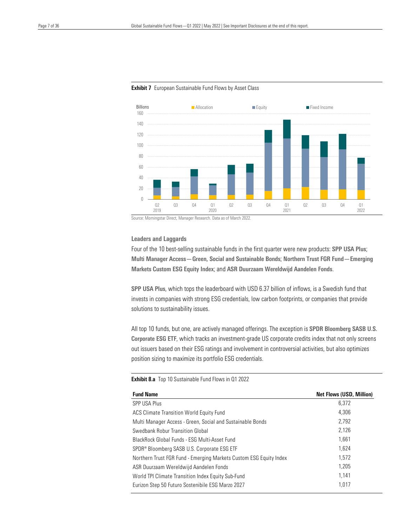

### **Exhibit 7** European Sustainable Fund Flows by Asset Class

Source: Morningstar Direct, Manager Research. Data as of March 2022.

#### Leaders and Laggards

Four of the 10 best-selling sustainable funds in the first quarter were new products: SPP USA Plus; Multi Manager Access—Green, Social and Sustainable Bonds; Northern Trust FGR Fund—Emerging Markets Custom ESG Equity Index; and ASR Duurzaam Wereldwijd Aandelen Fonds.

SPP USA Plus, which tops the leaderboard with USD 6.37 billion of inflows, is a Swedish fund that invests in companies with strong ESG credentials, low carbon footprints, or companies that provide solutions to sustainability issues.

All top 10 funds, but one, are actively managed offerings. The exception is SPDR Bloomberg SASB U.S. Corporate ESG ETF, which tracks an investment-grade US corporate credits index that not only screens out issuers based on their ESG ratings and involvement in controversial activities, but also optimizes position sizing to maximize its portfolio ESG credentials.

#### Exhibit 8.a Top 10 Sustainable Fund Flows in Q1 2022

| <b>Fund Name</b>                                                   | <b>Net Flows (USD, Million)</b> |
|--------------------------------------------------------------------|---------------------------------|
| SPP USA Plus                                                       | 6.372                           |
| ACS Climate Transition World Equity Fund                           | 4.306                           |
| Multi Manager Access - Green, Social and Sustainable Bonds         | 2.792                           |
| Swedbank Robur Transition Global                                   | 2.126                           |
| BlackRock Global Funds - ESG Multi-Asset Fund                      | 1.661                           |
| SPDR® Bloomberg SASB U.S. Corporate ESG ETF                        | 1.624                           |
| Northern Trust FGR Fund - Emerging Markets Custom ESG Equity Index | 1.572                           |
| ASR Duurzaam Wereldwijd Aandelen Fonds                             | 1.205                           |
| World TPI Climate Transition Index Equity Sub-Fund                 | 1.141                           |
| Eurizon Step 50 Futuro Sostenibile ESG Marzo 2027                  | 1.017                           |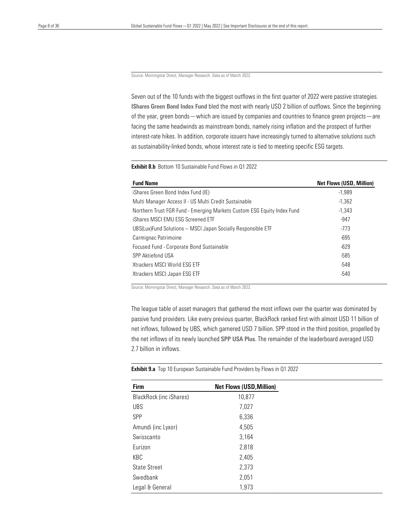Source: Morningstar Direct, Manager Research. Data as of March 2022.

 $\overline{a}$ 

 Seven out of the 10 funds with the biggest outflows in the first quarter of 2022 were passive strategies. of the year, green bonds—which are issued by companies and countries to finance green projects—are facing the same headwinds as mainstream bonds, namely rising inflation and the prospect of further IShares Green Bond Index Fund bled the most with nearly USD 2 billion of outflows. Since the beginning interest-rate hikes. In addition, corporate issuers have increasingly turned to alternative solutions such as sustainability-linked bonds, whose interest rate is tied to meeting specific ESG targets.

#### Exhibit 8.b Bottom 10 Sustainable Fund Flows in Q1 2022

| <b>Fund Name</b>                                                        | <b>Net Flows (USD, Million)</b> |
|-------------------------------------------------------------------------|---------------------------------|
| iShares Green Bond Index Fund (IE)                                      | $-1.989$                        |
| Multi Manager Access II - US Multi Credit Sustainable                   | $-1,362$                        |
| Northern Trust FGR Fund - Emerging Markets Custom ESG Equity Index Fund | $-1.343$                        |
| iShares MSCI EMU ESG Screened ETF                                       | $-947$                          |
| UBS(Lux)Fund Solutions - MSCI Japan Socially Responsible ETF            | $-773$                          |
| Carmignac Patrimoine                                                    | $-695$                          |
| Focused Fund - Corporate Bond Sustainable                               | $-629$                          |
| SPP Aktiefond USA                                                       | -585                            |
| Xtrackers MSCI World ESG ETF                                            | -548                            |
| Xtrackers MSCI Japan ESG ETF                                            | $-540$                          |

Source: Morningstar Direct, Manager Research. Data as of March 2022.

The league table of asset managers that gathered the most inflows over the quarter was dominated by passive fund providers. Like every previous quarter, BlackRock ranked first with almost USD 11 billion of net inflows, followed by UBS, which garnered USD 7 billion. SPP stood in the third position, propelled by the net inflows of its newly launched SPP USA Plus. The remainder of the leaderboard averaged USD 2.7 billion in inflows.

Exhibit 9.a Top 10 European Sustainable Fund Providers by Flows in Q1 2022

| Firm                           | <b>Net Flows (USD, Million)</b> |
|--------------------------------|---------------------------------|
| <b>BlackRock (inc iShares)</b> | 10,877                          |
| <b>UBS</b>                     | 7,027                           |
| SPP                            | 6,336                           |
| Amundi (inc Lyxor)             | 4,505                           |
| Swisscanto                     | 3,164                           |
| Eurizon                        | 2,818                           |
| KBC                            | 2,405                           |
| <b>State Street</b>            | 2,373                           |
| Swedbank                       | 2,051                           |
| Legal & General                | 1,973                           |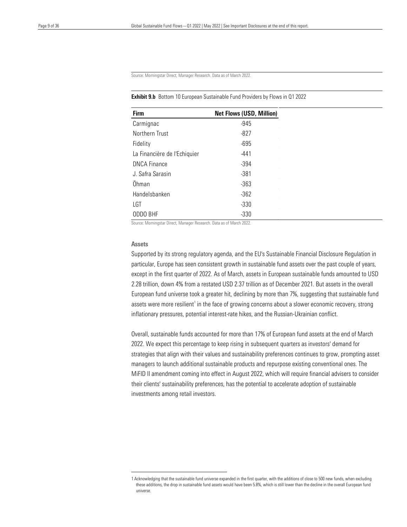Source: Morningstar Direct, Manager Research. Data as of March 2022.

 $\overline{a}$ 

#### Exhibit 9.b Bottom 10 European Sustainable Fund Providers by Flows in Q1 2022

| Firm                         | <b>Net Flows (USD, Million)</b> |
|------------------------------|---------------------------------|
| Carmignac                    | $-945$                          |
| Northern Trust               | $-827$                          |
| Fidelity                     | $-695$                          |
| La Financière de l'Echiquier | -441                            |
| <b>DNCA Finance</b>          | $-394$                          |
| J. Safra Sarasin             | $-381$                          |
| Öhman                        | $-363$                          |
| Handelsbanken                | $-362$                          |
| LGT                          | $-330$                          |
| ODDO BHF                     | $-330$                          |

Source: Morningstar Direct, Manager Research. Data as of March 2022.

#### Assets

Supported by its strong regulatory agenda, and the EU's Sustainable Financial Disclosure Regulation in particular, Europe has seen consistent growth in sustainable fund assets over the past couple of years, except in the first quarter of 2022. As of March, assets in European sustainable funds amounted to USD 2.28 trillion, down 4% from a restated USD 2.37 trillion as of December 2021. But assets in the overall European fund universe took a greater hit, declining by more than 7%, suggesting that sustainable fund assets were more resilient<sup>[1](#page-8-0)</sup> in the face of growing concerns about a slower economic recovery, strong inflationary pressures, potential interest-rate hikes, and the Russian-Ukrainian conflict.

Overall, sustainable funds accounted for more than 17% of European fund assets at the end of March 2022. We expect this percentage to keep rising in subsequent quarters as investors' demand for strategies that align with their values and sustainability preferences continues to grow, prompting asset managers to launch additional sustainable products and repurpose existing conventional ones. The MiFID II amendment coming into effect in August 2022, which will require financial advisers to consider their clients' sustainability preferences, has the potential to accelerate adoption of sustainable investments among retail investors.

<span id="page-8-0"></span><sup>1</sup> Acknowledging that the sustainable fund universe expanded in the first quarter, with the additions of close to 500 new funds, when excluding these additions, the drop in sustainable fund assets would have been 5.8%, which is still lower than the decline in the overall European fund universe.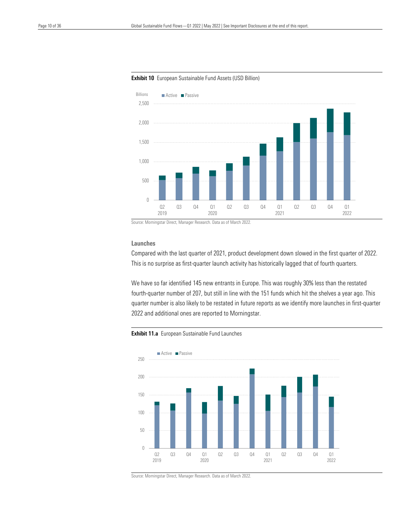

#### Exhibit 10 European Sustainable Fund Assets (USD Billion)

 $\overline{a}$ 

Source: Morningstar Direct, Manager Research. Data as of March 2022.

#### Launches

Compared with the last quarter of 2021, product development down slowed in the first quarter of 2022. This is no surprise as first-quarter launch activity has historically lagged that of fourth quarters.

We have so far identified 145 new entrants in Europe. This was roughly 30% less than the restated fourth-quarter number of 207, but still in line with the 151 funds which hit the shelves a year ago. This quarter number is also likely to be restated in future reports as we identify more launches in first-quarter 2022 and additional ones are reported to Morningstar.





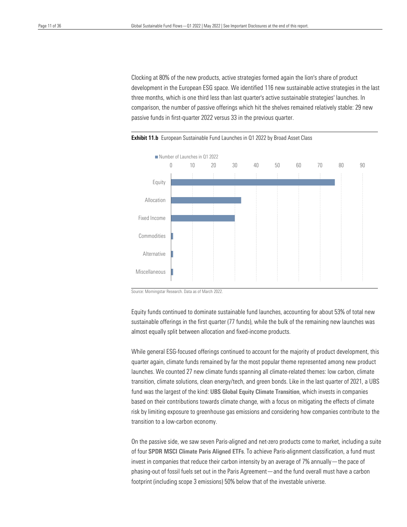development in the European ESG space. We identified 116 new sustainable active strategies in the last three months, which is one third less than last quarter's active sustainable strategies' launches. In passive funds in first-quarter 2022 versus 33 in the previous quarter. Clocking at 80% of the new products, active strategies formed again the lion's share of product comparison, the number of passive offerings which hit the shelves remained relatively stable: 29 new



Exhibit 11.b European Sustainable Fund Launches in Q1 2022 by Broad Asset Class

Source: Morningstar Research. Data as of March 2022.

Equity funds continued to dominate sustainable fund launches, accounting for about 53% of total new sustainable offerings in the first quarter (77 funds), while the bulk of the remaining new launches was almost equally split between allocation and fixed-income products.

While general ESG-focused offerings continued to account for the majority of product development, this quarter again, climate funds remained by far the most popular theme represented among new product launches. We counted 27 new climate funds spanning all [climate-related](https://www.morningstar.com/en-uk/lp/investing-in-times-of-climate-change) themes: low carbon, climate transition, climate solutions, clean energy/tech, and green bonds. Like in the last quarter of 2021, a UBS fund was the largest of the kind: UBS Global Equity Climate Transition, which invests in companies based on their contributions towards climate change, with a focus on mitigating the effects of climate risk by limiting exposure to greenhouse gas emissions and considering how companies contribute to the transition to a low-carbon economy.

On the passive side, we saw seven Paris-aligned and net-zero products come to market, including a suite of four SPDR MSCI Climate Paris Aligned ETFs. To achieve Paris-alignment classification, a fund must invest in companies that reduce their carbon intensity by an average of 7% annually—the pace of phasing-out of fossil fuels set out in the Paris Agreement—and the fund overall must have a carbon footprint (including scope 3 emissions) 50% below that of the investable universe.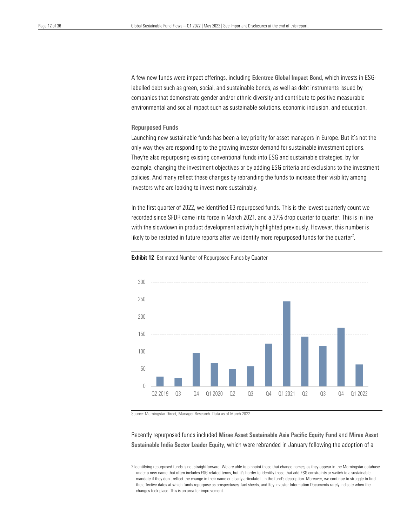labelled debt such as green, social, and sustainable bonds, as well as debt instruments issued by companies that demonstrate gender and/or ethnic diversity and contribute to positive measurable A few new funds were impact offerings, including Edentree Global Impact Bond, which invests in ESGenvironmental and social impact such as sustainable solutions, economic inclusion, and education.

#### Repurposed Funds

Launching new sustainable funds has been a key priority for asset managers in Europe. But it's not the only way they are responding to the growing investor demand for sustainable investment options. They're also repurposing existing conventional funds into ESG and sustainable strategies, by for example, changing the investment objectives or by adding ESG criteria and exclusions to the investment policies. And many reflect these changes by rebranding the funds to increase their visibility among investors who are looking to invest more sustainably.

In the first quarter of 2022, we identified 63 repurposed funds. This is the lowest quarterly count we recorded since SFDR came into force in March 2021, and a 37% drop quarter to quarter. This is in line with the slowdown in product development activity highlighted previously. However, this number is likely to be restated in future reports after we identify more repurposed funds for the quarter<sup>[2](#page-11-0)</sup>.



#### **Exhibit 12** Estimated Number of Repurposed Funds by Quarter

Source: Morningstar Direct, Manager Research. Data as of March 2022.

Recently repurposed funds included Mirae Asset Sustainable Asia Pacific Equity Fund and Mirae Asset Sustainable India Sector Leader Equity, which were rebranded in January following the adoption of a

<span id="page-11-0"></span><sup>2</sup> Identifying repurposed funds is not straightforward. We are able to pinpoint those that change names, as they appear in the Morningstar database under a new name that often includes ESG-related terms, but it's harder to identify those that add ESG constraints or switch to a sustainable mandate if they don't reflect the change in their name or clearly articulate it in the fund's description. Moreover, we continue to struggle to find the effective dates at which funds repurpose as prospectuses, fact sheets, and Key Investor Information Documents rarely indicate when the changes took place. This is an area for improvement.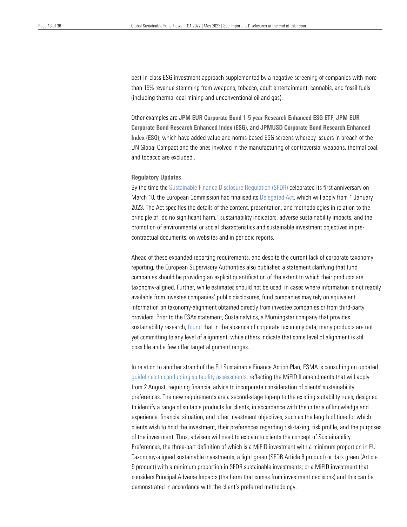than 15% revenue stemming from weapons, tobacco, adult entertainment, cannabis, and fossil fuels (including thermal coal mining and unconventional oil and gas). best-in-class ESG investment approach supplemented by a negative screening of companies with more

 Other examples are JPM EUR Corporate Bond 1-5 year Research Enhanced ESG ETF, JPM EUR Corporate Bond Research Enhanced Index (ESG), and JPMUSD Corporate Bond Research Enhanced Index (ESG), which have added value and [norms-based](https://www.etfstream.com/news/jp-morgan-am-adds-esg-filter-to-three-corporate-bond-etfs/) ESG screens whereby issuers in breach of the UN Global Compact and the ones involved in the [manufacturing](https://www.etfstream.com/news/jp-morgan-am-adds-esg-filter-to-three-corporate-bond-etfs/) of controversial weapons, thermal coal, and tobacco are [excluded](https://www.etfstream.com/news/jp-morgan-am-adds-esg-filter-to-three-corporate-bond-etfs/) .

#### Regulatory Updates

By the time the [Sustainable](https://assets.contentstack.io/v3/assets/blt4eb669caa7dc65b2/blt989542c4fba32038/6203ce883d56844907a2b5e3/SFDR-Article-8-and-Article-9-Funds-2021-in-Review.pdf) Finance Disclosure Regulation (SFDR) celebrated its first anniversary on March 10, the European Commission had finalised its [Delegated](https://ec.europa.eu/info/law/sustainable-finance-taxonomy-regulation-eu-2020-852/amending-and-supplementary-acts/implementing-and-delegated-acts_en) Act, which will apply from 1 January 2023. The Act specifies the details of the content, presentation, and methodologies in relation to the principle of "do no significant harm," sustainability indicators, adverse sustainability impacts, and the promotion of environmental or social characteristics and sustainable investment objectives in precontractual documents, on websites and in periodic reports.

Ahead of these expanded reporting requirements, and despite the current lack of corporate taxonomy reporting, the European Supervisory Authorities also published a [statement](chrome-extension://efaidnbmnnnibpcajpcglclefindmkaj/https:/www.esma.europa.eu/sites/default/files/library/jc_2022_12_-_updated_supervisory_statement_on_the_application_of_the_sfdr.pdf) clarifying that fund companies should be providing an explicit quantification of the extent to which their products are taxonomy-aligned. Further, while estimates should not be used, in cases where information is not readily available from investee companies' public disclosures, fund companies may rely on equivalent information on taxonomy-alignment obtained directly from investee companies or from third-party providers. Prior to the ESAs statement, Sustainalytics, a Morningstar company that provides sustainability research, [found](https://www.sustainalytics.com/esg-research/resource/investors-esg-blog/eu-taxonomy-alignment-of-article-8-and-9-funds-reporting) that in the absence of corporate taxonomy data, many products are not yet committing to any level of alignment, while others indicate that some level of alignment is still possible and a few offer target alignment ranges.

In relation to another strand of the EU Sustainable Finance Action Plan, ESMA is consulting on updated guidelines to conducting suitability [assessments,](https://www.esma.europa.eu/sites/default/files/library/esma35-43-2998_consultation_paper_on_review_mifid_ii_guidelines_on_suitability.pdf) reflecting the MiFID II amendments that will apply from 2 August, requiring financial advice to incorporate consideration of clients' sustainability preferences. The new requirements are a second-stage top-up to the existing suitability rules, designed to identify a range of suitable products for clients, in accordance with the criteria of knowledge and experience, financial situation, and other investment objectives, such as the length of time for which clients wish to hold the investment, their preferences regarding risk-taking, risk profile, and the purposes of the investment. Thus, advisers will need to explain to clients the concept of Sustainability Preferences, the three-part definition of which is a MiFID investment with a minimum proportion in EU Taxonomy-aligned sustainable investments; a light green (SFDR Article 8 product) or dark green (Article 9 product) with a minimum proportion in SFDR sustainable investments; or a MiFID investment that considers Principal Adverse Impacts (the harm that comes from investment decisions) and this can be demonstrated in accordance with the client's preferred methodology.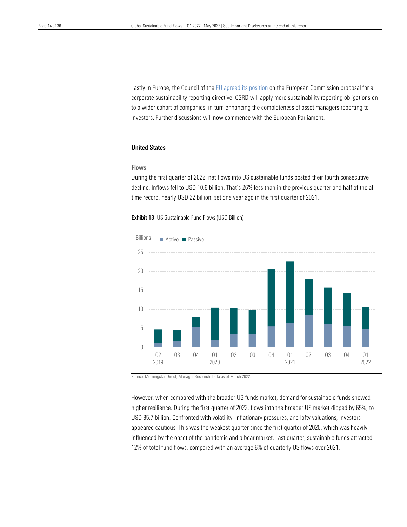Lastly in Europe, the Council of the EU agreed its [position](https://www.consilium.europa.eu/en/press/press-releases/2022/02/24/council-adopts-position-on-the-corporate-sustainability-reporting-directive-csrd/) on the European Commission proposal for a corporate sustainability reporting directive. CSRD will apply more sustainability reporting obligations on investors. Further discussions will now commence with the European Parliament. to a wider cohort of companies, in turn enhancing the completeness of asset managers reporting to

#### United States

#### Flows

During the first quarter of 2022, net [flows](https://www.morningstar.com/articles/1014854/what-are-fund-flows-and-why-do-they-matter) into US sustainable funds posted their fourth consecutive decline. Inflows fell to USD 10.6 billion. That's 26% less than in the previous quarter and half of the alltime record, nearly USD 22 billion, set one year ago in the first [quarter](https://www.morningstar.com/articles/1035554/sustainable-fund-flows-reach-new-heights-in-2021s-first-quarter) of 2021.

#### **Exhibit 13** US Sustainable Fund Flows (USD Billion)



Source: Morningstar Direct, Manager Research. Data as of March 2022.

However, when compared with the broader US funds market, demand for sustainable funds showed higher resilience. During the first quarter of 2022, flows into the broader US market dipped by 65%, to USD 85.7 billion. Confronted with volatility, inflationary pressures, and lofty valuations, investors appeared cautious. This was the weakest quarter since the first quarter of 2020, which was heavily influenced by the onset of the pandemic and a bear market. Last quarter, sustainable funds attracted 12% of total fund flows, compared with an average 6% of quarterly US flows over 2021.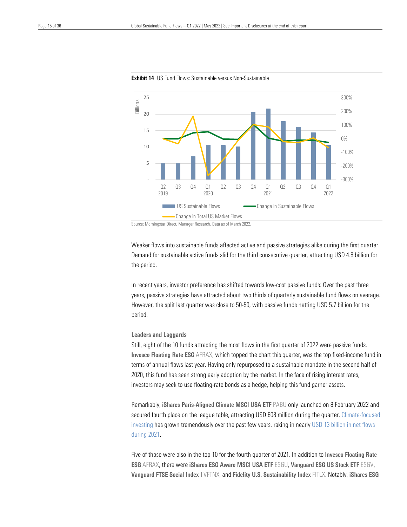

**Exhibit 14** US Fund Flows: Sustainable versus Non-Sustainable

 $\overline{a}$ 

Source: Morningstar Direct, Manager Research. Data as of March 2022.

Weaker flows into sustainable funds affected active and passive strategies alike during the first quarter. Demand for sustainable active funds slid for the third consecutive quarter, attracting USD 4.8 billion for the period.

In recent years, investor preference has shifted towards low-cost passive funds: Over the past three years, passive strategies have attracted about two thirds of quarterly sustainable fund flows on average. However, the split last quarter was close to 50-50, with passive funds netting USD 5.7 billion for the period.

#### Leaders and Laggards

Still, eight of the 10 funds attracting the most flows in the first quarter of 2022 were passive funds. Invesco Floating Rate ESG AFRAX, which topped the chart this quarter, was the top fixed-income fund in terms of annual flows last year. Having only repurposed to a sustainable mandate in the second half of 2020, this fund has seen strong early adoption by the market. In the face of rising interest rates, investors may seek to use floating-rate bonds as a hedge, helping this fund garner assets.

Remarkably, iShares Paris-Aligned Climate MSCI USA ETF PABU only launched on 8 February 2022 and secured fourth place on the league table, attracting USD 608 million during the quarter. [Climate-focused](https://www.morningstar.com/en-uk/lp/investing-in-times-of-climate-change) [investing](https://www.morningstar.com/en-uk/lp/investing-in-times-of-climate-change) has grown tremendously over the past few years, raking in nearly [USD 13](https://www.morningstar.com/articles/1088297/climate-funds-dig-deeper-roots) billion in net flows [during](https://www.morningstar.com/articles/1088297/climate-funds-dig-deeper-roots) 2021.

Five of those were also in the top 10 for the fourth quarter of 2021. In addition to Invesco Floating Rate ESG AFRAX, there were iShares ESG Aware MSCI USA ETF ESGU, Vanguard ESG US Stock ETF ESGV, Vanguard FTSE Social Index I VFTNX, and Fidelity U.S. Sustainability Index FITLX. Notably, iShares ESG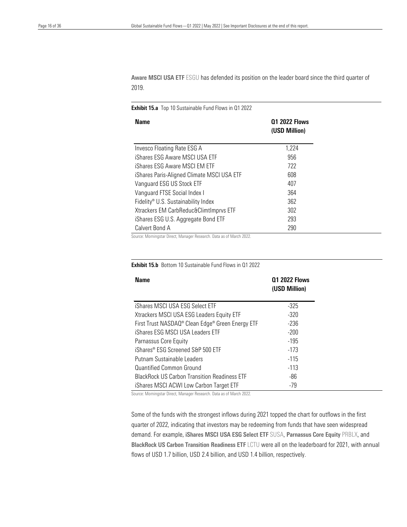Aware MSCI USA ETF ESGU has defended its position on the leader board since the third quarter of 2019.

## **Exhibit 15.a** Top 10 Sustainable Fund Flows in Q1 2022

| <b>Name</b>                                | 01 2022 Flows<br>(USD Million) |
|--------------------------------------------|--------------------------------|
| Invesco Floating Rate ESG A                | 1,224                          |
| iShares ESG Aware MSCI USA ETF             | 956                            |
| iShares ESG Aware MSCL EM FTE              | 722                            |
| iShares Paris-Aligned Climate MSCI USA ETF | 608                            |
| Vanguard ESG US Stock ETF                  | 407                            |
| Vanguard FTSE Social Index I               | 364                            |
| Fidelity® U.S. Sustainability Index        | 362                            |
| Xtrackers EM CarbReduc&ClimtImprvs ETF     | 302                            |
| iShares ESG U.S. Aggregate Bond ETF        | 293                            |
| Calvert Bond A                             | 290                            |

Source: Morningstar Direct, Manager Research. Data as of March 2022.

#### Exhibit 15.b Bottom 10 Sustainable Fund Flows in Q1 2022

| <b>Name</b>                                                              | 01 2022 Flows<br>(USD Million) |  |
|--------------------------------------------------------------------------|--------------------------------|--|
| iShares MSCI USA ESG Select ETF                                          | $-325$                         |  |
| Xtrackers MSCI USA ESG Leaders Equity ETF                                | $-320$                         |  |
| First Trust NASDAQ <sup>®</sup> Clean Edge <sup>®</sup> Green Energy ETF | $-236$                         |  |
| iShares ESG MSCI USA Leaders ETF                                         | $-200$                         |  |
| Parnassus Core Equity                                                    | $-195$                         |  |
| iShares® ESG Screened S&P 500 ETF                                        | $-173$                         |  |
| Putnam Sustainable Leaders                                               | $-115$                         |  |
| Quantified Common Ground                                                 | $-113$                         |  |
| <b>BlackBock US Carbon Transition Readiness ETF</b>                      | -86                            |  |
| iShares MSCI ACWI Low Carbon Target ETF                                  | $-79$                          |  |

Source: Morningstar Direct, Manager Research. Data as of March 2022.

Some of the funds with the strongest inflows during 2021 topped the chart for outflows in the first quarter of 2022, indicating that investors may be redeeming from funds that have seen widespread demand. For example, iShares MSCI USA ESG Select ETF SUSA, Parnassus Core Equity PRBLX, and BlackRock US Carbon Transition Readiness ETF LCTU were all on the leaderboard for 2021, with annual flows of USD 1.7 billion, USD 2.4 billion, and USD 1.4 billion, respectively.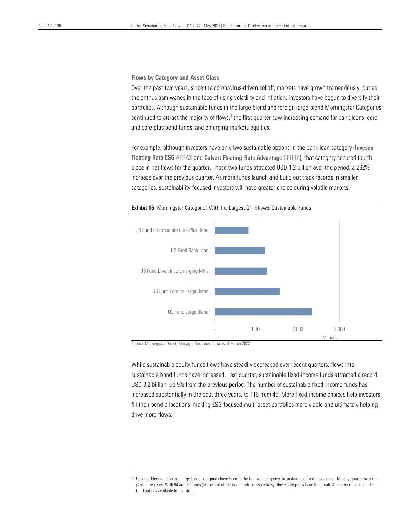Flows by Category and Asset Class

 Over the past two years, since the coronavirus-driven selloff, markets have grown tremendously, but as the enthusiasm wanes in the face of rising volatility and inflation, investors have begun to diversify their continued to attract the majority of flows, [3](#page-16-0) the first quarter saw increasing demand for bank loans, core- and core-plus bond funds, and emerging-markets equities. portfolios. Although sustainable funds in the large-blend and foreign large-blend Morningstar Categories

For example, although investors have only two sustainable options in the bank loan category (Invesco Floating Rate ESG AFRAX and Calvert Floating-Rate Advantage CFORX), that category secured fourth place in net flows for the quarter. Those two funds attracted USD 1.2 billion over the period, a 262% increase over the previous quarter. As more funds launch and build out track records in smaller categories, sustainability-focused investors will have greater choice during volatile markets.



Exhibit 16 Morningstar Categories With the Largest Q1 Inflows: Sustainable Funds

Source: Morningstar Direct, Manager Research. Data as of March 2022.

While sustainable equity funds flows have steadily decreased over recent quarters, flows into sustainable bond funds have increased. Last quarter, sustainable fixed-income funds attracted a record USD 3.2 billion, up 9% from the previous period. The number of sustainable fixed-income funds has increased substantially in the past three years, to 116 from 46. More fixed-income choices help investors fill their bond allocations, making ESG-focused multi-asset portfolios more viable and ultimately helping drive more flows.

<span id="page-16-0"></span><sup>3</sup> The large-blend and foreign large-blend categories have been in the top five categories for sustainable fund flows in nearly every quarter over the past three years. With 94 and 36 funds (at the end of the first quarter), respectively, these categories have the greatest number of sustainable fund options available to investors.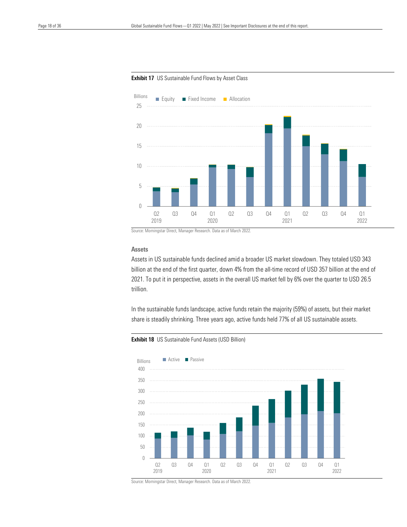

#### **Exhibit 17** US Sustainable Fund Flows by Asset Class

 $\overline{a}$ 

Source: Morningstar Direct, Manager Research. Data as of March 2022.

#### Assets

Assets in US sustainable funds declined amid a broader US market slowdown. They totaled USD 343 billion at the end of the first quarter, down 4% from the all-time record of USD 357 billion at the end of 2021. To put it in perspective, assets in the overall US market fell by 6% over the quarter to USD 26.5 trillion.

In the sustainable funds landscape, active funds retain the majority (59%) of assets, but their market share is steadily shrinking. Three years ago, active funds held 77% of all US sustainable assets.

#### Exhibit 18 US Sustainable Fund Assets (USD Billion)

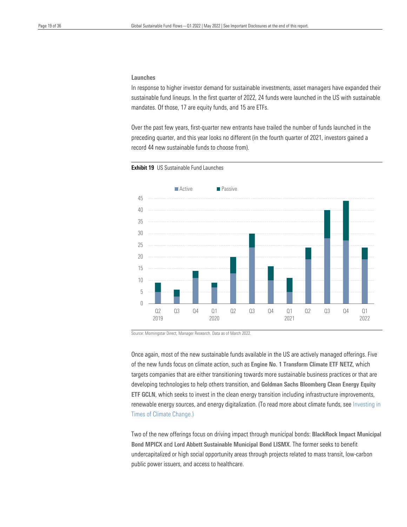#### Launches

 In response to higher investor demand for sustainable investments, asset managers have expanded their sustainable fund lineups. In the first quarter of 2022, 24 funds were launched in the US with sustainable mandates. Of those, 17 are equity funds, and 15 are ETFs.

 Over the past few years, first-quarter new entrants have trailed the number of funds launched in the preceding quarter, and this year looks no different (in the fourth quarter of 2021, investors gained a record 44 new sustainable funds to choose from).





Source: Morningstar Direct, Manager Research. Data as of March 2022.

Once again, most of the new sustainable funds available in the US are actively managed offerings. Five of the new funds focus on climate action, such as Engine No. 1 Transform Climate ETF NETZ, which targets companies that are either transitioning towards more sustainable business practices or that are developing technologies to help others transition, and Goldman Sachs Bloomberg Clean Energy Equity ETF GCLN, which seeks to invest in the clean energy transition including infrastructure improvements, renewable energy sources, and energy digitalization. (To read more about climate funds, see [Investing](https://www.morningstar.com/en-uk/lp/investing-in-times-of-climate-change) in Times of Climate [Change.](https://www.morningstar.com/en-uk/lp/investing-in-times-of-climate-change))

Two of the new offerings focus on driving impact through municipal bonds: BlackRock Impact Municipal Bond MPICX and Lord Abbett Sustainable Municipal Bond LISMX. The former seeks to benefit undercapitalized or high social opportunity areas through projects related to mass transit, low-carbon public power issuers, and access to healthcare.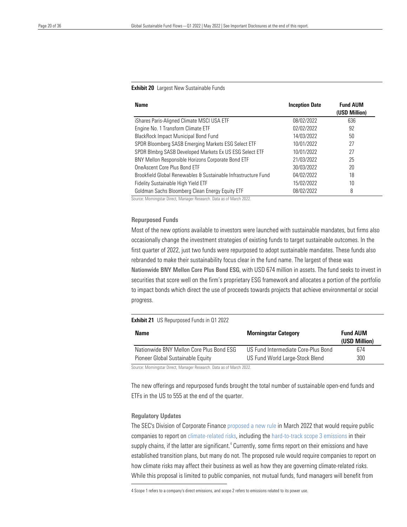### **Exhibit 20** Largest New Sustainable Funds

| <b>Name</b>                                                    | <b>Inception Date</b> | <b>Fund AUM</b><br>(USD Million) |
|----------------------------------------------------------------|-----------------------|----------------------------------|
| iShares Paris-Aligned Climate MSCI USA ETF                     | 08/02/2022            | 636                              |
| Engine No. 1 Transform Climate ETF                             | 02/02/2022            | 92                               |
| <b>BlackRock Impact Municipal Bond Fund</b>                    | 14/03/2022            | 50                               |
| SPDR Bloomberg SASB Emerging Markets ESG Select ETF            | 10/01/2022            | 27                               |
| SPDR Blmbrg SASB Developed Markets Ex US ESG Select ETF        | 10/01/2022            | 27                               |
| BNY Mellon Responsible Horizons Corporate Bond ETF             | 21/03/2022            | 25                               |
| OneAscent Core Plus Bond ETF                                   | 30/03/2022            | 20                               |
| Brookfield Global Renewables & Sustainable Infrastructure Fund | 04/02/2022            | 18                               |
| <b>Fidelity Sustainable High Yield ETF</b>                     | 15/02/2022            | 10                               |
| Goldman Sachs Bloomberg Clean Energy Equity ETF                | 08/02/2022            | 8                                |

Source: Morningstar Direct, Manager Research. Data as of March 2022.

#### Repurposed Funds

Most of the new options available to investors were launched with sustainable mandates, but firms also occasionally change the investment strategies of existing funds to target sustainable outcomes. In the first quarter of 2022, just two funds were repurposed to adopt sustainable mandates. These funds also rebranded to make their sustainability focus clear in the fund name. The largest of these was Nationwide BNY Mellon Core Plus Bond ESG, with USD 674 million in assets. The fund seeks to invest in securities that score well on the firm's proprietary ESG framework and allocates a portion of the portfolio to impact bonds which direct the use of proceeds towards projects that achieve environmental or social progress.

#### Exhibit 21 US Repurposed Funds in Q1 2022

| Name                                     | <b>Morningstar Category</b>         | <b>Fund AUM</b><br>(USD Million) |
|------------------------------------------|-------------------------------------|----------------------------------|
| Nationwide BNY Mellon Core Plus Bond ESG | US Fund Intermediate Core-Plus Bond | 674                              |
| Pioneer Global Sustainable Equity        | US Fund World Large-Stock Blend     | 300                              |

Source: Morningstar Direct, Manager Research. Data as of March 2022.

The new offerings and repurposed funds brought the total number of sustainable open-end funds and ETFs in the US to 555 at the end of the quarter.

#### Regulatory Updates

The SEC's Division of Corporate Finance [proposed a new](https://www.sec.gov/news/press-release/2022-46) rule in March 2022 that would require public companies to report on [climate-related](https://www.morningstar.com/articles/1085746/the-secs-proposed-climate-risk-rule-helps-all-investors) risks, including the hard-to-track [scope 3 emissions](https://www.morningstar.com/articles/1085222/the-secs-new-climate-disclosure-proposal-what-you-need-to-know) in their supply chains, if the latter are significant.<sup>[4](#page-19-0)</sup> Currently, some firms report on their emissions and have established transition plans, but many do not. The proposed rule would require companies to report on how climate risks may affect their business as well as how they are governing climate-related risks. While this proposal is limited to public companies, not mutual funds, fund managers will benefit from

<span id="page-19-0"></span><sup>4</sup> Scope 1 refers to a company's direct emissions, and scope 2 refers to emissions related to its power use.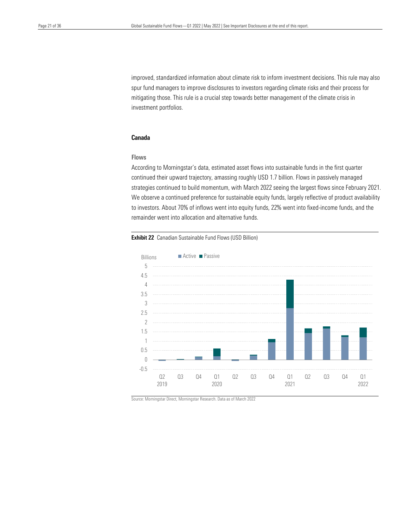spur fund managers to improve disclosures to investors regarding climate risks and their process for mitigating those. This rule is a crucial step towards better management of the climate crisis in improved, standardized information about climate risk to inform investment decisions. This rule may also investment portfolios.

#### Canada

#### Flows

According to Morningstar's data, estimated asset flows into sustainable funds in the first quarter continued their upward trajectory, amassing roughly USD 1.7 billion. Flows in passively managed strategies continued to build momentum, with March 2022 seeing the largest flows since February 2021. We observe a continued preference for sustainable equity funds, largely reflective of product availability to investors. About 70% of inflows went into equity funds, 22% went into fixed-income funds, and the remainder went into allocation and alternative funds.

#### Exhibit 22 Canadian Sustainable Fund Flows (USD Billion)



Source: Morningstar Direct, Morningstar Research. Data as of March 2022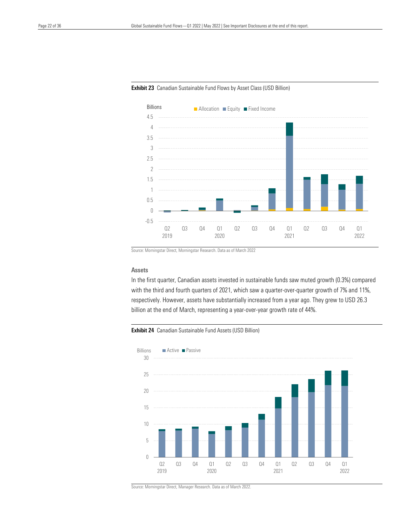

**Exhibit 23** Canadian Sustainable Fund Flows by Asset Class (USD Billion)

Source: Morningstar Direct, Morningstar Research. Data as of March 2022

#### Assets

In the first quarter, Canadian assets invested in sustainable funds saw muted growth (0.3%) compared with the third and fourth quarters of 2021, which saw a quarter-over-quarter growth of 7% and 11%, respectively. However, assets have substantially increased from a year ago. They grew to USD 26.3 billion at the end of March, representing a year-over-year growth rate of 44%.

#### Exhibit 24 Canadian Sustainable Fund Assets (USD Billion)



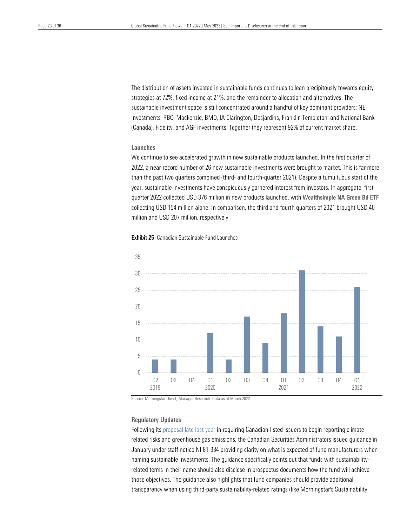The distribution of assets invested in sustainable funds continues to lean precipitously towards equity strategies at 72%, fixed income at 21%, and the remainder to allocation and alternatives. The Investments, RBC, Mackenzie, BMO, IA Clarington, Desjardins, Franklin Templeton, and National Bank (Canada), Fidelity, and AGF investments. Together they represent 92% of current market share. sustainable investment space is still concentrated around a handful of key dominant providers: NEI

#### Launches

We continue to see accelerated growth in new sustainable products launched. In the first quarter of 2022, a near-record number of 26 new sustainable investments were brought to market. This is far more than the past two quarters combined (third- and fourth-quarter 2021). Despite a tumultuous start of the year, sustainable investments have conspicuously garnered interest from investors. In aggregate, firstquarter 2022 collected USD 376 million in new products launched, with Wealthsimple NA Green Bd ETF collecting USD 154 million alone. In comparison, the third and fourth quarters of 2021 brought USD 40 million and USD 207 million, respectively.





Source: Morningstar Direct, Manager Research. Data as of March 2022.

#### Regulatory Updates

Following its [proposal](https://www.osc.ca/en/securities-law/instruments-rules-policies/5/51-107/51-107-consultation-climate-related-disclosure-update-and-csa-notice-and-request-comment-proposed) late last year in requiring Canadian-listed issuers to begin reporting climaterelated risks and greenhouse gas emissions, the Canadian Securities Administrators issued [guidance](https://www.osc.ca/en/securities-law/instruments-rules-policies/8/81-334/csa-staff-notice-81-334-esg-related-investment-fund-disclosure) in [January](https://www.osc.ca/en/securities-law/instruments-rules-policies/8/81-334/csa-staff-notice-81-334-esg-related-investment-fund-disclosure) under staff notice NI 81-334 providing clarity on what is expected of fund manufacturers when naming sustainable investments. The guidance specifically points out that funds with sustainabilityrelated terms in their name should also disclose in prospectus documents how the fund will achieve those objectives. The guidance also highlights that fund companies should provide additional transparency when using third-party sustainability-related ratings (like Morningstar's Sustainability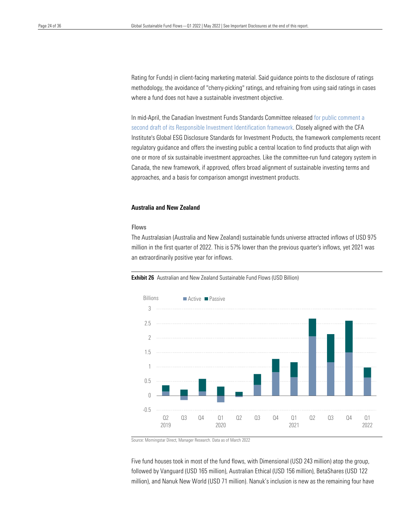methodology, the avoidance of "cherry-picking" ratings, and refraining from using said ratings in cases where a fund does not have a sustainable investment objective. Rating for Funds) in client-facing marketing material. Said guidance points to the disclosure of ratings

 In mid-April, the Canadian Investment Funds Standards Committee released for public [comment a](https://www.cifsc.org/the-canadian-investment-funds-standards-committee-cifsc-requests-comment-on-a-proposed-responsible-investment-identification-framework/)  second draft of its Responsible Investment [Identification](https://www.cifsc.org/the-canadian-investment-funds-standards-committee-cifsc-requests-comment-on-a-proposed-responsible-investment-identification-framework/) framework. Closely aligned with the CFA Institute's Global ESG Disclosure Standards for Investment Products, the framework complements recent regulatory guidance and offers the investing public a central location to find products that align with one or more of six sustainable investment approaches. Like the committee-run fund category system in Canada, the new framework, if approved, offers broad alignment of sustainable investing terms and approaches, and a basis for comparison amongst investment products.

#### Australia and New Zealand

#### Flows

The Australasian (Australia and New Zealand) sustainable funds universe attracted inflows of USD 975 million in the first quarter of 2022. This is 57% lower than the previous quarter's inflows, yet 2021 was an extraordinarily positive year for inflows.





Source: Morningstar Direct, Manager Research. Data as of March 2022

Five fund houses took in most of the fund flows, with Dimensional (USD 243 million) atop the group, followed by Vanguard (USD 165 million), Australian Ethical (USD 156 million), BetaShares (USD 122 million), and Nanuk New World (USD 71 million). Nanuk's inclusion is new as the remaining four have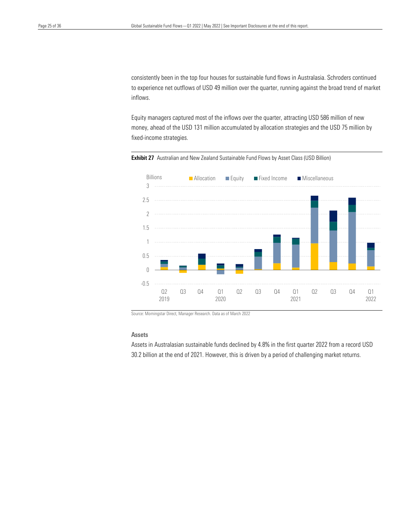to experience net outflows of USD 49 million over the quarter, running against the broad trend of market consistently been in the top four houses for sustainable fund flows in Australasia. Schroders continued inflows.

 Equity managers captured most of the inflows over the quarter, attracting USD 586 million of new money, ahead of the USD 131 million accumulated by allocation strategies and the USD 75 million by fixed-income strategies.





Source: Morningstar Direct, Manager Research. Data as of March 2022

#### Assets

Assets in Australasian sustainable funds declined by 4.8% in the first quarter 2022 from a record USD 30.2 billion at the end of 2021. However, this is driven by a period of challenging market returns.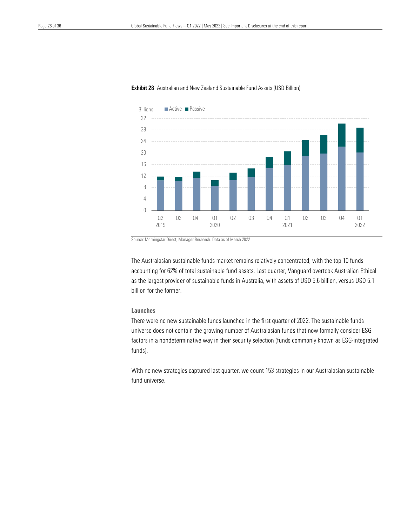

![](_page_25_Figure_3.jpeg)

The Australasian sustainable funds market remains relatively concentrated, with the top 10 funds accounting for 62% of total sustainable fund assets. Last quarter, Vanguard overtook Australian Ethical as the largest provider of sustainable funds in Australia, with assets of USD 5.6 billion, versus USD 5.1 billion for the former.

#### Launches

There were no new sustainable funds launched in the first quarter of 2022. The sustainable funds universe does not contain the growing number of Australasian funds that now formally consider ESG factors in a nondeterminative way in their security selection (funds commonly known as ESG-integrated funds).

With no new strategies captured last quarter, we count 153 strategies in our Australasian sustainable fund universe.

Source: Morningstar Direct, Manager Research. Data as of March 2022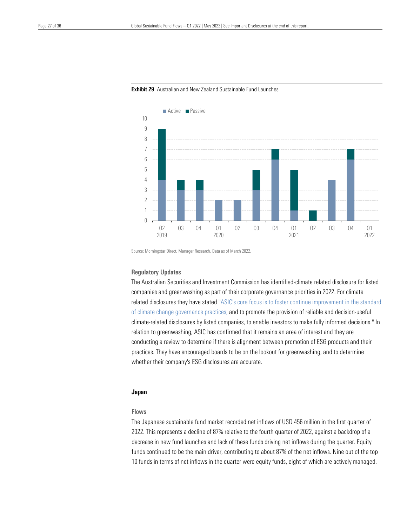![](_page_26_Figure_2.jpeg)

#### Exhibit 29 Australian and New Zealand Sustainable Fund Launches

Source: Morningstar Direct, Manager Research. Data as of March 2022.

#### Regulatory Updates

The Australian Securities and Investment Commission has identified-climate related disclosure for listed companies and greenwashing as part of their corporate governance priorities in 2022. For climate related disclosures they have stated "ASIC's core focus is to foster continue [improvement](https://asic.gov.au/about-asic/news-centre/speeches/asic-s-corporate-governance-priorities-and-the-year-ahead/) in the standard of climate change governance practices; and to promote the provision of reliable and [decision-useful](https://asic.gov.au/about-asic/news-centre/speeches/asic-s-corporate-governance-priorities-and-the-year-ahead/) [climate-related](https://asic.gov.au/about-asic/news-centre/speeches/asic-s-corporate-governance-priorities-and-the-year-ahead/) disclosures by listed companies, to enable investors to make fully informed decisions." In relation to greenwashing, ASIC has confirmed that it remains an area of interest and they are conducting a review to determine if there is alignment between promotion of ESG products and their practices. They have encouraged boards to be on the lookout for greenwashing, and to determine whether their company's ESG disclosures are accurate.

#### Japan

#### Flows

The Japanese sustainable fund market recorded net inflows of USD 456 million in the first quarter of 2022. This represents a decline of 87% relative to the fourth quarter of 2022, against a backdrop of a decrease in new fund launches and lack of these funds driving net inflows during the quarter. Equity funds continued to be the main driver, contributing to about 87% of the net inflows. Nine out of the top 10 funds in terms of net inflows in the quarter were equity funds, eight of which are actively managed.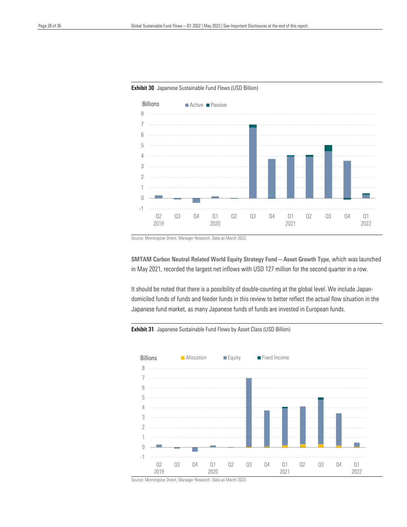![](_page_27_Figure_2.jpeg)

**Exhibit 30** Japanese Sustainable Fund Flows (USD Billion)

Source: Morningstar Direct, Manager Research. Data as March 2022.

SMTAM Carbon Neutral Related World Equity Strategy Fund—Asset Growth Type, which was launched in May 2021, recorded the largest net inflows with USD 127 million for the second quarter in a row.

It should be noted that there is a possibility of double-counting at the global level. We include Japandomiciled funds of funds and feeder funds in this review to better reflect the actual flow situation in the Japanese fund market, as many Japanese funds of funds are invested in European funds.

#### Exhibit 31 Japanese Sustainable Fund Flows by Asset Class (USD Billion)

![](_page_27_Figure_8.jpeg)

Source: Morningstar Direct, Manager Research. Data as March 2022.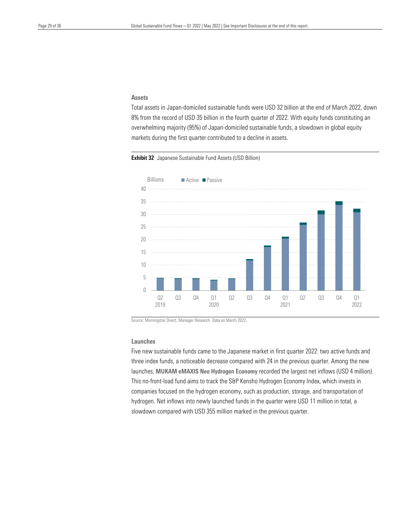#### Assets

 8% from the record of USD 35 billion in the fourth quarter of 2022. With equity funds constituting an overwhelming majority (95%) of Japan-domiciled sustainable funds, a slowdown in global equity Total assets in Japan-domiciled sustainable funds were USD 32 billion at the end of March 2022, down markets during the first quarter contributed to a decline in assets.

![](_page_28_Figure_4.jpeg)

![](_page_28_Figure_5.jpeg)

Source: Morningstar Direct, Manager Research. Data as March 2022.

#### Launches

Five new sustainable funds came to the Japanese market in first quarter 2022: two active funds and three index funds, a noticeable decrease compared with 24 in the previous quarter. Among the new launches, MUKAM eMAXIS Neo Hydrogen Economy recorded the largest net inflows (USD 4 million). This no-front-load fund aims to track the S&P Kensho Hydrogen Economy Index, which invests in companies focused on the hydrogen economy, such as production, storage, and transportation of hydrogen. Net inflows into newly launched funds in the quarter were USD 11 million in total, a slowdown compared with USD 355 million marked in the previous quarter.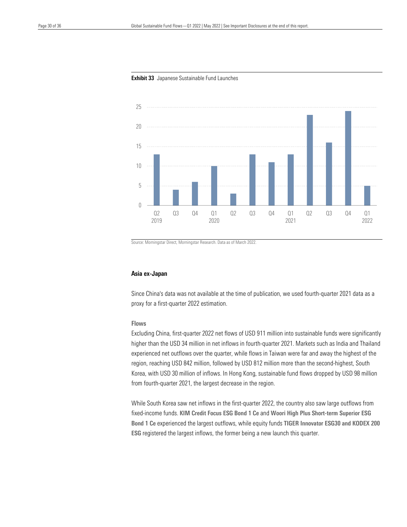![](_page_29_Figure_2.jpeg)

#### **Exhibit 33** Japanese Sustainable Fund Launches

 $\overline{a}$ 

Source: Morningstar Direct, Morningstar Research. Data as of March 2022.

#### Asia ex-Japan

Since China's data was not available at the time of publication, we used fourth-quarter 2021 data as a proxy for a first-quarter 2022 estimation.

#### Flows

Excluding China, first-quarter 2022 net flows of USD 911 million into sustainable funds were significantly higher than the USD 34 million in net inflows in fourth-quarter 2021. Markets such as India and Thailand experienced net outflows over the quarter, while flows in Taiwan were far and away the highest of the region, reaching USD 842 million, followed by USD 812 million more than the second-highest, South Korea, with USD 30 million of inflows. In Hong Kong, sustainable fund flows dropped by USD 98 million from fourth-quarter 2021, the largest decrease in the region.

While South Korea saw net inflows in the first-quarter 2022, the country also saw large outflows from fixed-income funds. KIM Credit Focus ESG Bond 1 Ce and Woori High Plus Short-term Superior ESG Bond 1 Ce experienced the largest outflows, while equity funds TIGER Innovator ESG30 and KODEX 200 ESG registered the largest inflows, the former being a new launch this quarter.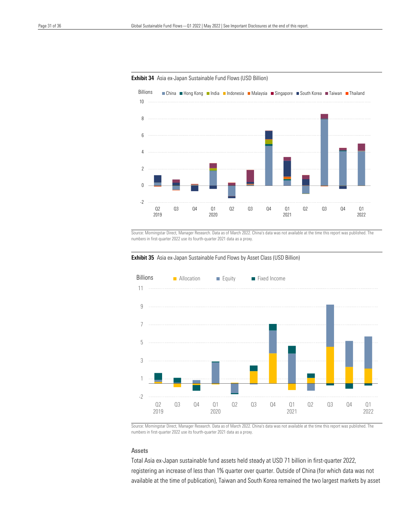![](_page_30_Figure_2.jpeg)

#### Exhibit 34 Asia ex-Japan Sustainable Fund Flows (USD Billion)

 $\overline{a}$ 

Source: Morningstar Direct, Manager Research. Data as of March 2022. China's data was not available at the time this report was published. The numbers in first-quarter 2022 use its fourth-quarter 2021 data as a proxy.

#### Exhibit 35 Asia ex-Japan Sustainable Fund Flows by Asset Class (USD Billion)

![](_page_30_Figure_6.jpeg)

Source: Morningstar Direct, Manager Research. Data as of March 2022. China's data was not available at the time this report was published. The numbers in first-quarter 2022 use its fourth-quarter 2021 data as a proxy.

#### Assets

Total Asia ex-Japan sustainable fund assets held steady at USD 71 billion in first-quarter 2022, registering an increase of less than 1% quarter over quarter. Outside of China (for which data was not available at the time of publication), Taiwan and South Korea remained the two largest markets by asset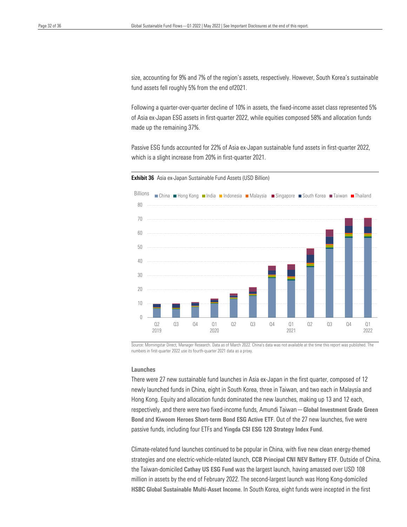fund assets fell roughly 5% from the end of2021. size, accounting for 9% and 7% of the region's assets, respectively. However, South Korea's sustainable

 of Asia ex-Japan ESG assets in first-quarter 2022, while equities composed 58% and allocation funds made up the remaining 37%. Following a quarter-over-quarter decline of 10% in assets, the fixed-income asset class represented 5%

Passive ESG funds accounted for 22% of Asia ex-Japan sustainable fund assets in first-quarter 2022, which is a slight increase from 20% in first-quarter 2021.

![](_page_31_Figure_5.jpeg)

![](_page_31_Figure_6.jpeg)

Source: Morningstar Direct, Manager Research. Data as of March 2022. China's data was not available at the time this report was published. The numbers in first-quarter 2022 use its fourth-quarter 2021 data as a proxy.

#### Launches

There were 27 new sustainable fund launches in Asia ex-Japan in the first quarter, composed of 12 newly launched funds in China, eight in South Korea, three in Taiwan, and two each in Malaysia and Hong Kong. Equity and allocation funds dominated the new launches, making up 13 and 12 each, respectively, and there were two fixed-income funds, Amundi Taiwan—Global Investment Grade Green Bond and Kiwoom Heroes Short-term Bond ESG Active ETF. Out of the 27 new launches, five were passive funds, including four ETFs and Yingda CSI ESG 120 Strategy Index Fund.

Climate-related fund launches continued to be popular in China, with five new clean energy-themed strategies and one electric-vehicle-related launch, CCB Principal CNI NEV Battery ETF. Outside of China, the Taiwan-domiciled Cathay US ESG Fund was the largest launch, having amassed over USD 108 million in assets by the end of February 2022. The second-largest launch was Hong Kong-domiciled HSBC Global Sustainable Multi-Asset Income. In South Korea, eight funds were incepted in the first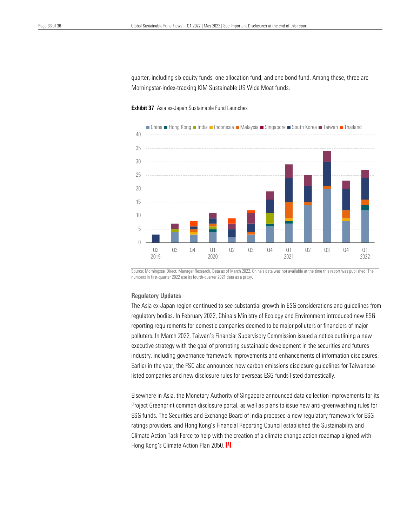Morningstar-index-tracking KIM Sustainable US Wide Moat funds. quarter, including six equity funds, one allocation fund, and one bond fund. Among these, three are

![](_page_32_Figure_3.jpeg)

## **Exhibit 37** Asia ex-Japan Sustainable Fund Launches

Source: Morningstar Direct, Manager Research. Data as of March 2022. China's data was not available at the time this report was published. The numbers in first-quarter 2022 use its fourth-quarter 2021 data as a proxy.

#### Regulatory Updates

The Asia ex-Japan region continued to see substantial growth in ESG considerations and guidelines from regulatory bodies. In February 2022, China's Ministry of Ecology and Environment introduced new ESG reporting requirements for domestic companies deemed to be major polluters or financiers of major polluters. In March 2022, Taiwan's Financial Supervisory Commission issued [a notice](https://www.fsc.gov.tw/ch/home.jsp?id=2&parentpath=0&mcustomize=news_view.jsp&dataserno=202203080002&dtable=News) outlining a new executive strategy with the goal of promoting sustainable development in the securities and futures industry, including governance framework improvements and enhancements of information disclosures. Earlier in the year, the FSC also announced new carbon emissions disclosure guidelines for Taiwaneselisted companies and new disclosure rules for overseas ESG funds listed domestically.

Elsewhere in Asia, the Monetary Authority of Singapore announced data collection improvements for its Project Greenprint common disclosure portal, as well as [plans](https://www.mas.gov.sg/news/speeches/2022/responding-to-global-trends-returning-to-fundamentals) to issue new anti-greenwashing rules for ESG funds. The Securities and Exchange Board of India [proposed](https://www.sebi.gov.in/reports-and-statistics/reports/jan-2022/consultation-paper-on-environmental-social-and-governance-esg-rating-providers-for-securities-markets_55516.html) a new regulatory framework for ESG ratings providers, and Hong Kong's Financial Reporting Counci[l established](https://www.frc.org.hk/en-us/news-events/news/news-article?folder=FRC_Pres+Release_SCATF) the Sustainability and Climate Action Task Force to help with the creation of a climate change action roadmap aligned with Hong Kong's Climate Action Plan 2050. M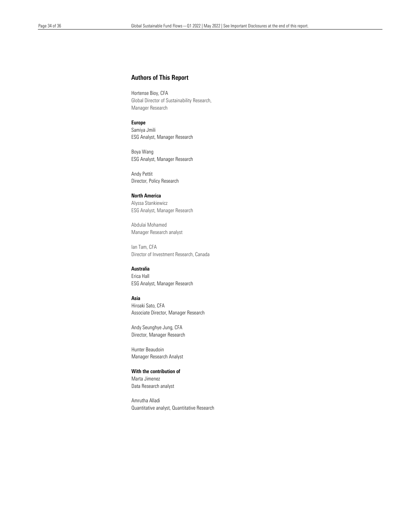#### Authors of This Report

 Global Director of Sustainability Research, Manager Research Hortense Bioy, CFA

#### Europe

Samiya Jmili ESG Analyst, Manager Research

Boya Wang ESG Analyst, Manager Research

Andy Pettit Director, Policy Research

#### North America

Alyssa Stankiewicz ESG Analyst, Manager Research

Abdulai Mohamed Manager Research analyst

Ian Tam, CFA Director of Investment Research, Canada

#### Australia Erica Hall

ESG Analyst, Manager Research

#### Asia

Hiroaki Sato, CFA Associate Director, Manager Research

Andy Seunghye Jung, CFA Director, Manager Research

Hunter Beaudoin Manager Research Analyst

#### With the contribution of

Marta Jimenez Data Research analyst

Amrutha Alladi Quantitative analyst, Quantitative Research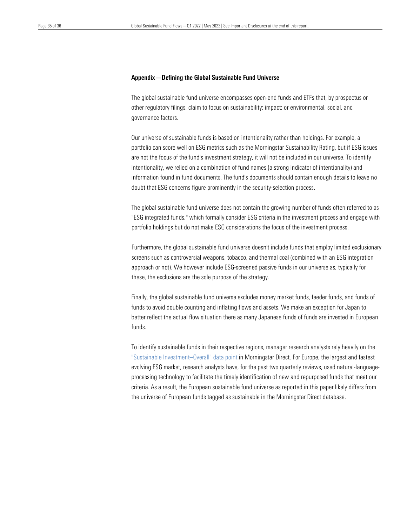#### Appendix—Defining the Global Sustainable Fund Universe

 The global sustainable fund universe encompasses open-end funds and ETFs that, by prospectus or governance factors. other regulatory filings, claim to focus on sustainability; impact; or environmental, social, and

Our universe of sustainable funds is based on intentionality rather than holdings. For example, a portfolio can score well on ESG metrics such as the Morningstar Sustainability Rating, but if ESG issues are not the focus of the fund's investment strategy, it will not be included in our universe. To identify intentionality, we relied on a combination of fund names (a strong indicator of intentionality) and information found in fund documents. The fund's documents should contain enough details to leave no doubt that ESG concerns figure prominently in the security-selection process.

The global sustainable fund universe does not contain the growing number of funds often referred to as "ESG integrated funds," which formally consider ESG criteria in the investment process and engage with portfolio holdings but do not make ESG considerations the focus of the investment process.

Furthermore, the global sustainable fund universe doesn't include funds that employ limited exclusionary screens such as controversial weapons, tobacco, and thermal coal (combined with an ESG integration approach or not). We however include ESG-screened passive funds in our universe as, typically for these, the exclusions are the sole purpose of the strategy.

Finally, the global sustainable fund universe excludes money market funds, feeder funds, and funds of funds to avoid double counting and inflating flows and assets. We make an exception for Japan to better reflect the actual flow situation there as many Japanese funds of funds are invested in European funds.

To identify sustainable funds in their respective regions, manager research analysts rely heavily on the "Sustainable [Investment–Overall"](https://direct.morningstar.com/cloud/research/doc/929987/Morningstar-Sustainable-Attributes) data point in Morningstar Direct. For Europe, the largest and fastest evolving ESG market, research analysts have, for the past two quarterly reviews, used natural-languageprocessing technology to facilitate the timely identification of new and repurposed funds that meet our criteria. As a result, the European sustainable fund universe as reported in this paper likely differs from the universe of European funds tagged as sustainable in the Morningstar Direct database.